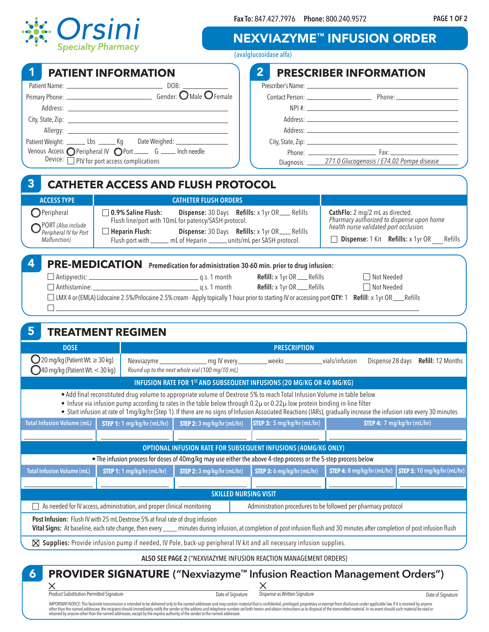

**Fax To:** 847.427.7976 **Phone:** 800.240.9572

## NEXVIAZYME™ INFUSION ORDER

| opecially i harmacy                                                                                                                                                                                    |                                                    |                                                                                                                                                                                                                               |                                                                                                                                                                                                                                                                    |  | (avalglucosidase alfa)                                                                                                                                                                                                                                |                                                                                                                                                                                            |                             |
|--------------------------------------------------------------------------------------------------------------------------------------------------------------------------------------------------------|----------------------------------------------------|-------------------------------------------------------------------------------------------------------------------------------------------------------------------------------------------------------------------------------|--------------------------------------------------------------------------------------------------------------------------------------------------------------------------------------------------------------------------------------------------------------------|--|-------------------------------------------------------------------------------------------------------------------------------------------------------------------------------------------------------------------------------------------------------|--------------------------------------------------------------------------------------------------------------------------------------------------------------------------------------------|-----------------------------|
| 1                                                                                                                                                                                                      | <b>PATIENT INFORMATION</b>                         |                                                                                                                                                                                                                               |                                                                                                                                                                                                                                                                    |  | 2 <sup>1</sup>                                                                                                                                                                                                                                        | <b>PRESCRIBER INFORMATION</b>                                                                                                                                                              |                             |
| Patient Weight: _________ Lbs ________ Kg Date Weighed: ________________________<br>Venous Access O Peripheral IV O Port _____ G _____ Inch needle<br>Device: $\Box$ PIV for port access complications |                                                    |                                                                                                                                                                                                                               |                                                                                                                                                                                                                                                                    |  |                                                                                                                                                                                                                                                       | Address: 2008 and 2008 and 2008 and 2008 and 2008 and 2008 and 2008 and 2008 and 2008 and 2008 and 2008 and 20<br>Diagnosis: 271.0 Glucogenosis / E74.02 Pompe disease                     |                             |
| $\overline{\mathbf{3}}$                                                                                                                                                                                |                                                    |                                                                                                                                                                                                                               | <b>CATHETER ACCESS AND FLUSH PROTOCOL</b>                                                                                                                                                                                                                          |  |                                                                                                                                                                                                                                                       |                                                                                                                                                                                            |                             |
| <b>ACCESS TYPE</b><br>$\bigcap$ Peripheral<br>PORT (Also include<br>Peripheral IV for Port<br>Malfunction)                                                                                             | $\Box$ 0.9% Saline Flush:<br>$\Box$ Heparin Flush: |                                                                                                                                                                                                                               | <b>CATHETER FLUSH ORDERS</b><br>Dispense: 30 Days Refills: x 1yr OR____ Refills<br>Flush line/port with 10mL for patency/SASH protocol.<br>Dispense: 30 Days Refills: x 1yr OR__Refills<br>Flush port with ______ mL of Heparin ______ units/mL per SASH protocol. |  |                                                                                                                                                                                                                                                       | CathFlo: 2 mg/2 mL as directed.<br>Pharmacy authorized to dispense upon home<br>health nurse validated port occlusion.<br>$\Box$ Dispense: 1 Kit Refills: x 1yr OR Refills                 |                             |
| 4<br>5.                                                                                                                                                                                                |                                                    | the control of the control of the control of the control of the control of the control of the control of the control of the control of the control of the control of the control of the control of the control of the control |                                                                                                                                                                                                                                                                    |  | PRE-MEDICATION Premedication for administration 30-60 min. prior to drug infusion:<br>Refill: x 1yr OR___Refills<br>Refill: x 1yr OR___Refills                                                                                                        | □ Not Needed<br>□ Not Needed<br>□ LMX 4 or (EMLA) Lidocaine 2.5%/Prilocaine 2.5% cream - Apply topically 1 hour prior to starting IV or accessing port QTY: 1 Refill: x 1yr OR ___ Refills |                             |
| <b>TREATMENT REGIMEN</b><br><b>DOSE</b>                                                                                                                                                                |                                                    |                                                                                                                                                                                                                               | <b>PRESCRIPTION</b>                                                                                                                                                                                                                                                |  |                                                                                                                                                                                                                                                       |                                                                                                                                                                                            |                             |
| $\bigcirc$ 20 mg/kg (Patient Wt. $\geq$ 30 kg)<br>$\bigcirc$ 40 mg/kg (Patient Wt. < 30 kg)                                                                                                            |                                                    |                                                                                                                                                                                                                               | Dispense 28 days Refill: 12 Months<br>Round up to the next whole vial (100 mg/10 mL)                                                                                                                                                                               |  |                                                                                                                                                                                                                                                       |                                                                                                                                                                                            |                             |
|                                                                                                                                                                                                        |                                                    |                                                                                                                                                                                                                               |                                                                                                                                                                                                                                                                    |  | INFUSION RATE FOR 1 <sup>ST</sup> AND SUBSEQUENT INFUSIONS (20 MG/KG OR 40 MG/KG)                                                                                                                                                                     |                                                                                                                                                                                            |                             |
|                                                                                                                                                                                                        |                                                    |                                                                                                                                                                                                                               |                                                                                                                                                                                                                                                                    |  | · Add final reconstituted drug volume to appropriate volume of Dextrose 5% to reach Total Infusion Volume in table below<br>• Infuse via infusion pump according to rates in the table below through 0.2µ or 0.22µ low protein binding in-line filter | • Start infusion at rate of 1mg/kg/hr (Step 1). If there are no signs of Infusion Associated Reactions (IARs), gradually increase the infusion rate every 30 minutes                       |                             |
| <b>Total Infusion Volume (mL)</b>                                                                                                                                                                      | STEP 1: 1 mg/kg/hr (mL/hr)                         |                                                                                                                                                                                                                               | STEP 2: 3 mg/kg/hr (mL/hr)                                                                                                                                                                                                                                         |  | STEP 3: 5 mg/kg/hr (mL/hr)                                                                                                                                                                                                                            | STEP 4: 7 mg/kg/hr (mL/hr)                                                                                                                                                                 |                             |
|                                                                                                                                                                                                        |                                                    |                                                                                                                                                                                                                               |                                                                                                                                                                                                                                                                    |  | OPTIONAL INFUSION RATE FOR SUBSEQUENT INFUSIONS (40MG/KG ONLY)                                                                                                                                                                                        |                                                                                                                                                                                            |                             |
|                                                                                                                                                                                                        |                                                    |                                                                                                                                                                                                                               |                                                                                                                                                                                                                                                                    |  | • The infusion process for doses of 40mg/kg may use either the above 4-step process or the 5-step process below                                                                                                                                       |                                                                                                                                                                                            |                             |
| <b>Total Infusion Volume (mL)</b>                                                                                                                                                                      |                                                    | STEP 1: 1 mg/kg/hr (mL/hr)                                                                                                                                                                                                    | STEP 2: 3 mg/kg/hr (mL/hr)                                                                                                                                                                                                                                         |  | STEP 3: 6 mg/kg/hr (mL/hr)                                                                                                                                                                                                                            | STEP 4: 8 mg/kg/hr (mL/hr)                                                                                                                                                                 | STEP 5: 10 mg/kg/hr (mL/hr) |
|                                                                                                                                                                                                        |                                                    |                                                                                                                                                                                                                               |                                                                                                                                                                                                                                                                    |  | <b>SKILLED NURSING VISIT</b>                                                                                                                                                                                                                          |                                                                                                                                                                                            |                             |
| As needed for IV access, administration, and proper clinical monitoring                                                                                                                                |                                                    |                                                                                                                                                                                                                               |                                                                                                                                                                                                                                                                    |  |                                                                                                                                                                                                                                                       | Administration procedures to be followed per pharmacy protocol                                                                                                                             |                             |
| Post Infusion: Flush IV with 25 mL Dextrose 5% at final rate of drug infusion                                                                                                                          |                                                    |                                                                                                                                                                                                                               |                                                                                                                                                                                                                                                                    |  |                                                                                                                                                                                                                                                       | Vital Signs: At baseline, each rate change, then every ____ minutes during infusion, at completion of post infusion flush and 30 minutes after completion of post infusion flush           |                             |
|                                                                                                                                                                                                        |                                                    |                                                                                                                                                                                                                               |                                                                                                                                                                                                                                                                    |  | $\boxtimes$ Supplies: Provide infusion pump if needed, IV Pole, back-up peripheral IV kit and all necessary infusion supplies.                                                                                                                        |                                                                                                                                                                                            |                             |
|                                                                                                                                                                                                        |                                                    |                                                                                                                                                                                                                               |                                                                                                                                                                                                                                                                    |  | ALSO SEE PAGE 2 ("NEXVIAZYME INFUSION REACTION MANAGEMENT ORDERS)                                                                                                                                                                                     |                                                                                                                                                                                            |                             |
| 6                                                                                                                                                                                                      |                                                    |                                                                                                                                                                                                                               |                                                                                                                                                                                                                                                                    |  |                                                                                                                                                                                                                                                       | <b>PROVIDER SIGNATURE ("Nexviazyme™ Infusion Reaction Management Orders")</b>                                                                                                              |                             |

Product Substitution Permitted Signature Date of Signature Date of Signature

IMPORTANT NOTICE: This facsimile transmission is intended to be delivered only to the named addressee and may contain material that is confidential, privileged, proprietary or exempt from disclosure under applicable law. I